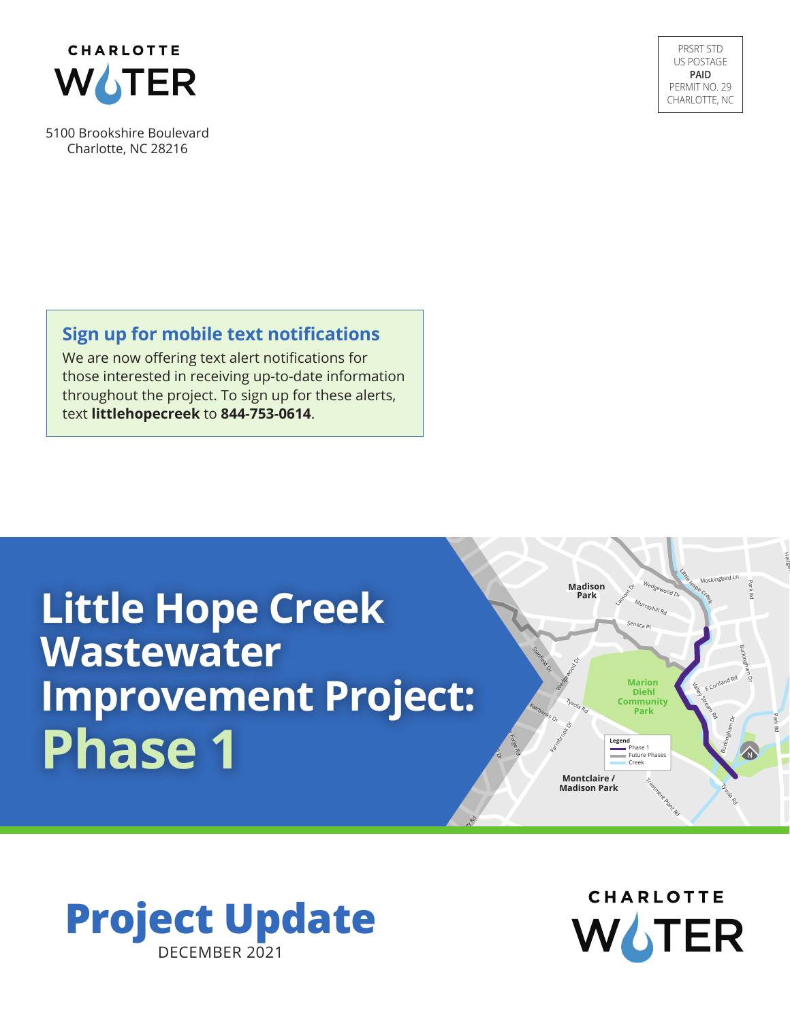

5100 Brookshire Boulevard Charlotte, NC 28216

PRSRT STD US POSTAGE **PAID** PERMIT NO. 29 CHARLOTTE, NC

### **Sign up for mobile text notifications**

We are now offering text alert notifications for those interested in receiving up-to-date information throughout the project. To sign up for these alerts, text **littlehopecreek** to **844-753-0614**.

# **Little Hope Creek Wastewater Improvement Project: Phase 1**



**CHARLOTTE** WATER

Treatment Plant Rd

**Marion Diehl Community** 

**Legend Phase**  Future Phases **Creek** 

Sene<sub>ca Pl</sub>

Murrayhill Rd

Wedgewood Dr

**Park** Park<br>**Park** Park<br>**Park** S<sub>tream</sub> Stream Rd Stream Rd Stream Rd Stream Rd Stream Rd Stream Rd Stream Rd Stream Rd Stream Rd Stream Rd Stream Rd

**Little Hope Cree**

**k**

Mockingbird Ln

Buckingham Dr

Buckingham Dr

E Cortland Rd

Tyvola Rd

Park Rd

Park Rd

Hedg<sub>em</sub>

**Madison Park**

**Montclaire / Madison Park**

Tyvola Rd

Median Door

Stanfeed Dr.

Fairbanks Dr

Chedworth Dr. Valley Forge Rd

**Burnley** 

Farmbook Dr